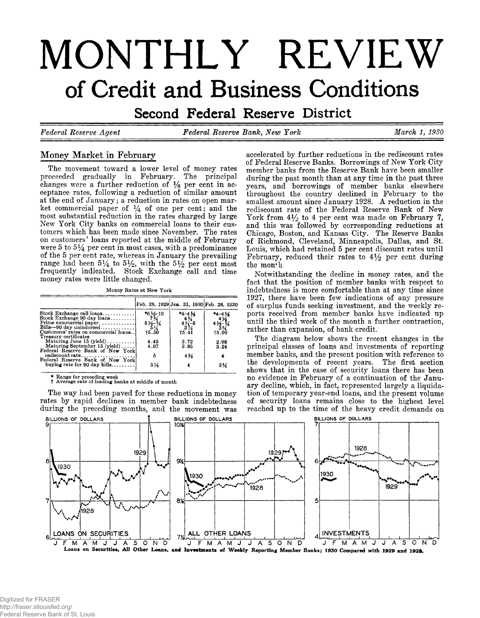# MONTHLY REVIEW of Credit and Business Conditions

**Second Federal Reserve District** 

*Federal Eeserve Agent Federal Eeserve Bank, New York March 1 , 1930*

# **Money Market in February**

**The movement toward a lower level of money rates proceeded gradually in February. The principal changes were a further reduction of** *Ys* **per cent in acceptance rates, following a reduction of similar amount at the end of January; a reduction in rates on open market commercial paper of** *%* **of one per cent; and the most substantial reduction in the rates charged by large New York City banks on commercial loans to their customers which has been made since November. The rates on customers' loans reported at the middle of February were 5 to** *5%* **per cent in most cases, with a predominance of the 5 per cent rate, whereas in January the prevailing** range had been  $5\frac{1}{4}$  to  $5\frac{1}{2}$ , with the  $5\frac{1}{2}$  per cent most **frequently indicated. Stock Exchange call and time money rates were little changed.**

**Money Rates at New York**

|                                                                                                                     |                                                                                                       | Feb. 28, 1929 Jan. 31, 1930 Feb. 28, 1930                       |                                               |
|---------------------------------------------------------------------------------------------------------------------|-------------------------------------------------------------------------------------------------------|-----------------------------------------------------------------|-----------------------------------------------|
| Stock Exchange call loans<br>Stock Exchange 90 day loans                                                            |                                                                                                       | $*_{4-4}$ $\frac{1}{4}$<br>$4\frac{3}{4}$<br>$4\frac{3}{4}$ - 5 | $*_{4-4}$ $\frac{1}{2}$                       |
| Prime commercial paper<br>Bills-90 day unindorsed<br>Customers' rates on commercial loans.<br>Treasury certificates | *6 $\frac{1}{2}$<br>7 $\frac{3}{4}$<br>5 $\frac{1}{2}$<br>5 $\frac{1}{4}$<br>5 $\frac{1}{4}$<br>75.50 | $3\%$<br>15.41                                                  | $4\frac{4\frac{1}{2}}{3\frac{3}{4}}$<br>15.09 |
| Maturing June 15 (yield)<br>Maturing September 15 (yield)<br>Federal Reserve Bank of New York                       | 4.45<br>4.67                                                                                          | 3.72<br>3.85                                                    | 2.98<br>3.24                                  |
| rediscount rate<br>Federal Reserve Bank of New York                                                                 | 5                                                                                                     | 4 <sub>26</sub>                                                 |                                               |
| buying rate for 90 day bills                                                                                        | 51⁄8                                                                                                  | 4                                                               | 3%                                            |

**\* Range for preceding week t Average rate of leading banks at middle of month**

**The way had been paved for these reductions in money rates by rapid declines in member bank indebtedness during the preceding months, and the movement was** **accelerated by further reductions in the rediscount rates of Federal Eeserve Banks. Borrowings of New York City member banks from the Reserve Bank have been smaller during the past month than at any time in the past three years, and borrowings of member banks elsewhere throughout the country declined in February to the smallest amount since January 1928. A reduction in the rediscount rate of the Federal Reserve Bank of New York from 4***y2* **to 4 per cent was made on February 7, and this was followed by corresponding reductions at Chicago, Boston, and Kansas City. The Reserve Banks of Richmond, Cleveland, Minneapolis, Dallas, and St. Louis, which had retained 5 per cent discount rates until February, reduced their rates to 4***Y2* **per cent during the mon^h.**

**Notwithstanding the decline in money rates, and the fact that the position of member banks with respect to indebtedness is more comfortable than at any time since 1927, there have been few indications of any pressure of surplus funds seeking investment, and the weekly reports received from member banks have indicated up until the third week of the month a further contraction, rather than expansion, of bank credit.**

**The diagram below shows the recent changes in the principal classes of loans and investments of reporting member banks, and the present position with reference to the developments of recent years. The first section shows that in the case of security loans there has been no evidence in February of a continuation of the January decline, which, in fact, represented largely a liquidation of temporary year-end loans, and the present volume of security loans remains close to the highest level reached up to the time of the heavy credit demands on**

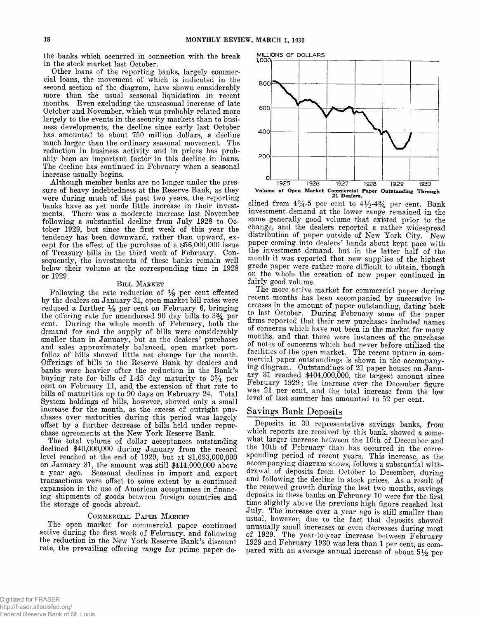**the banks which occurred in connection with the break in the stock market last October.**

**Other loans of the reporting banks, largely commercial loans, the movement of which is indicated in the second section of the diagram, have shown considerably more than the usual seasonal liquidation in recent months. Even excluding the unseasonal increase of late October and November, which was probably related more largely to the events in the security markets than to business developments, the decline since early last October has amounted to about 750 million dollars, a decline much larger than the ordinary seasonal movement. The reduction in business activity and in prices has probably been an important factor in this decline in loans. The decline has continued in February when a seasonal increase usually begins.**

**Although member banks are no longer under the pressure of heavy indebtedness at the Reserve Bank, as they were during much of the past two years, the reporting banks have as yet made little increase in their investments. There was a moderate increase last November following a substantial decline from July 1928 to October 1929, but since the first week of this year the tendency has been downward, rather than upward, except for the effect of the purchase of a \$56,000,000 issue of Treasury bills in the third week of February. Consequently, the investments of these banks remain well below their volume at the corresponding time in 1928 or 1929.**

#### **Bill Market**

**Following the rate reduction of** *Ys* **per cent effected by the dealers on January 31, open market bill rates were** reduced a further  $\frac{1}{8}$  per cent on February 6, bringing the offering rate for unendorsed 90 day bills to  $3\frac{3}{4}$  per **cent. During the whole month of February, both the demand for and the supply of bills were considerably smaller than in January, but as the dealers' purchases and sales approximately balanced, open market portfolios of bills showed little net change for the month. Offerings of bills to the Reserve Bank by dealers and banks were heavier after the reduction in the Bank's buying rate for bills of 1-45 day maturity to 3 % per cent on February 11, and the extension of that rate to bills of maturities up to 90 days on February 24. Total System holdings of bills, however, showed only a small increase for the month, as the excess of outright purchases over maturities during this period was largely offset by a further decrease of bills held under repurchase agreements at the New York Reserve Bank.**

**The total volume of dollar acceptances outstanding declined \$40,000,000 during January from the record level reached at the end of 1929, but at \$1,693,000,000 on January 31, the amount was still \$414,000,000 above a year ago. Seasonal declines in import and export transactions were offset to some extent by a continued expansion in the use of American acceptances in financing shipments of goods between foreign countries and the storage of goods abroad.**

#### **Commercial Paper Market**

**The open market for commercial paper continued active during the first week of February, and following the reduction in the New York Reserve Bank's discount rate, the prevailing offering range for prime paper de-**



clined from  $4\frac{3}{4}$ -5 per cent to  $4\frac{1}{2}$ - $4\frac{3}{4}$  per cent. Bank **investment demand at the lower range remained in the same generally good volume that existed prior to the change, and the dealers reported a rather widespread** distribution of paper outside of New York City. New **paper coming into dealers' hands about kept pace with the investment demand, but in the latter half of the month it was reported that new supplies of the highest grade paper were rather more difficult to obtain, though on the whole the creation of new paper continued in fairly good volume.**

**The more active market for commercial paper during recent months has been accompanied by successive increases in the amount of paper outstanding, dating back to last October. During February some of the paper firms reported that their new purchases included names of concerns which have not been in the market for many months, and that there were instances of the purchase ° f notes of concerns which had never before utilized the facilities of the open market. The recent upturn in commercial paper outstandings is shown in the accompanying diagram. Outstandings of 21 paper houses on January 31 reached \$404,000,000, the largest amount since February 1929; the increase over the December figure was 21 per cent, and the total increase from the low level of last summer has amounted to 52 per cent.**

## **Savings Bank Deposits**

**Deposits in 30 representative savings banks, from which reports are received by this bank, showed a somewhat larger increase between the 10th of December and the 10th of February than has occurred in the corresponding period of recent years. This increase, as the accompanying diagram shows, follows a substantial withdrawal of deposits from October to December, during and following the decline in stock prices. As a result of the renewed growth during the last two months, savings deposits in these banks on February 10 were for the first time slightly above the previous high figure reached last July. The increase over a year ago is still smaller than usual, however,** *due* **to the fact that deposits showed unusually small increases or even decreases during most of 1929. The year-to-year increase between February 1929 and February 1930 was less than 1 per cent, as compared with an average annual increase of about 5***Y2* **per**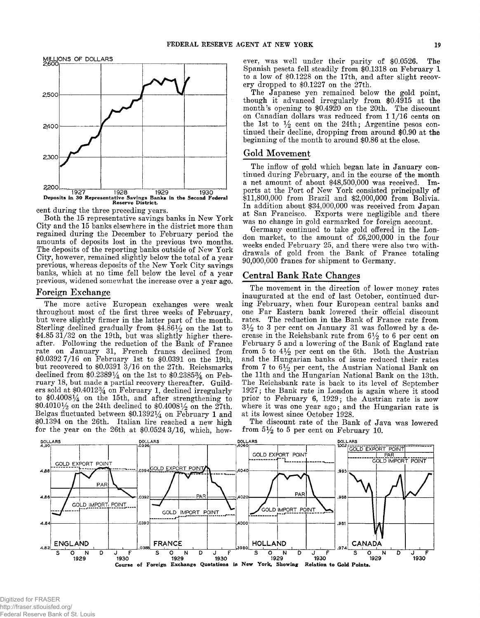

**cent during the three preceding years,**

**Both the 15 representative savings banks in New York City and the 15 banks elsewhere in the district more than regained during the December to February period the amounts of deposits lost in the previous two months. The deposits of the reporting banks outside of New York City, however, remained slightly below the total of a year previous, whereas deposits of the New York City savings banks, which at no time fell below the level of a year previous, widened somewhat the increase over a year ago.**

## **Foreign Exchange**

**The more active European exchanges were weak throughout most of the first three weeks of February, but were slightly firmer in the latter part of the month.** Sterling declined gradually from \$4.861/2 on the 1st to **\$4.85 31/32 on the 19th, but was slightly higher thereafter. Following the reduction of the Bank of France rate on January 31, French francs declined from \$0.0392 7/16 on February 1st to \$0.0391 on the 19th, but recovered to \$0.0391 3/16 on the 27th. Reichsmarks declined from \$0.23891/4 on the 1st to \$0.2385% on February 18, but made a partial recovery thereafter. Guilders sold at \$0.4012% on February 1, declined irregularly to \$0.4008^4: on the 15th, and after strengthening to \$0.4010% on the 24th declined to \$0.4008% on the 27th. Belgas fluctuated between \$0.13921/4 on February 1 and \$0.1394 on the 26th. Italian lire reached a new high for the year on the 26th at \$0.0524 3/16, which, how-** **ever, was well under their parity of \$0.0526. The Spanish peseta fell steadily from \$0.1318 on February 1 to a low of \$0.1228 on the 17th, and after slight recovery dropped to \$0.1227 on the 27th.**

**The Japanese yen remained below the gold point, though it advanced irregularly from \$0.4915 at the month's opening to \$0.4920 on the 20th. The discount** on Canadian dollars was reduced from 1 1/16 cents on the 1st to  $\frac{1}{2}$  cent on the 24th; Argentine pesos con**tinued their decline, dropping from around \$0.90 at the beginning of the month to around \$0.86 at the close.**

# **Gold Movement**

**The inflow of gold which began late in January continued during February, and in the course of the month a net amount of about \$48,500,000 was received. Imports at the Port of New York consisted principally of \$11,800,000 from Brazil and \$2,000,000 from Bolivia. In addition about \$34,000,000 was received from Japan at San Francisco. Exports were negligible and there was no change in gold earmarked for foreign account.**

**Germany continued to take gold offered in the London market, to the amount of £6,200,000 in the four weeks ended February 25, and there were also two withdrawals of gold from the Bank of France totaling 90,000,000 francs for shipment to Germany.**

## **Central Bank Rate Changes**

**The movement in the direction of lower money rates inaugurated at the end of last October, continued during February, when four European central banks and one Far Eastern bank lowered their official discount rates. The reduction in the Bank of France rate from 3 % to 3 per cent on January 31 was followed by a de**crease in the Reichsbank rate from  $6\frac{1}{2}$  to 6 per cent on **February 5 and a lowering of the Bank of England rate** from 5 to  $4\frac{1}{2}$  per cent on the 6th. Both the Austrian **and the Hungarian banks of issue reduced their rates** from 7 to  $6\frac{1}{2}$  per cent, the Austrian National Bank on **the 11th and the Hungarian National Bank on the 13th. The Reichsbank rate is back to its level of September 1927; the Bank rate in London is again where it stood prior to February 6, 1929; the Austrian rate is now where it was one year ago; and the Hungarian rate is at its lowest since October 1928.**

**The discount rate of the Bank of Java was lowered** from  $5\frac{1}{2}$  to 5 per cent on February 10.



Digitized for FRASER http://fraser.stlouisfed.org/ Federal Reserve Bank of St. Louis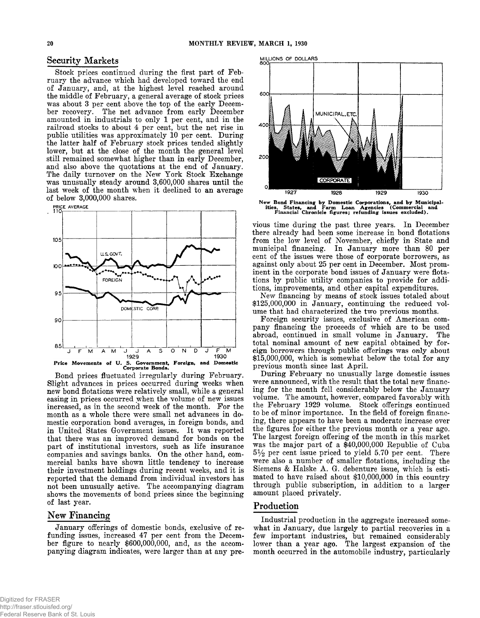# Security Markets

**Stock prices continued during the first part of February the advance which had developed toward the end of January, and, at the highest level reached around the middle of February, a general average of stock prices was about 3 per cent above the top of the early December recovery. The net advance from early December amounted in industrials to only 1 per cent, and in the railroad stocks to about 4 per cent, but the net rise in public utilities was approximately 10 per cent. During the latter half of February stock prices tended slightly lower, but at the close of the month the general level still remained somewhat higher than in early December, and also above the quotations at the end of January. The daily turnover on the New York Stock Exchange was unusually steady around 3,600,000 shares until the last week of the month when it declined to an average of below 3,000,000 shares.**



**Bond prices fluctuated irregularly during February. Slight advances in prices occurred during weeks when new bond flotations were relatively small, while a general easing in prices occurred when the volume of new issues increased, as in the second week of the month. For the month as a whole there were small net advances in domestic corporation bond averages, in foreign bonds, and in United States Government issues. It was reported that there was an improved demand for bonds on the part of institutional investors, such as life insurance companies and savings banks. On the other hand, commercial banks have shown little tendency to increase their investment holdings during recent weeks, and it is reported that the demand from individual investors has not been unusually active. The accompanying diagram shows the movements of bond prices since the beginning of last year.**

# **New Financing**

**January offerings of domestic bonds, exclusive of refunding issues, increased 47 per cent from the Decem**ber figure to nearly \$600,000,000, and, as the accom**panying diagram indicates, were larger than at any pre-**



**New Bond Financing by Domestic Corporations, and by Municipal-ities, States, and Farm Loan Agencies (Commercial and Financial Chronicle figures; refunding issues excluded).**

**vious time during the past three years. In December there already had been some increase in bond flotations from the low level of November, chiefly in State and municipal financing. In January more than 80 per cent of the issues were those of corporate borrowers, as against only about 25 per cent in December. Most prominent in the corporate bond issues of January were flotations by public utility companies to provide for additions, improvements, and other capital expenditures.**

**New financing by means of stock issues totaled about \$125,000,000 in January, continuing the reduced volume that had characterized the two previous months.**

**Foreign security issues, exclusive of American company financing the proceeds of which are to be used abroad, continued in small volume in January. The total nominal amount of new capital obtained by foreign borrowers through public offerings was only about \$15,000,000, which is somewhat below the total for any previous month since last April.**

**During February no unusually large domestic issues were announced, with the result that the total new financing for the month fell considerably below the January volume. The amount, however, compared favorably with the February 1929 volume. Stock offerings continued to be of minor importance. In the field of foreign financing, there appears to have been a moderate increase over the figures for either the previous month or a year ago. The largest foreign offering of the month in this market was the major part of a \$40,000,000 Republic of Cuba 5 % per cent issue priced to yield 5.70 per cent. There were also a number of smaller flotations, including the** Siemens & Halske A. G. debenture issue, which is esti**mated to have raised about \$10,000,000 in this country through public subscription, in addition to a larger amount placed privately.**

## **Production**

**Industrial production in the aggregate increased somewhat in January, due largely to partial recoveries in a few important industries, but remained considerably lower than a year ago. The largest expansion of the month occurred in the automobile industry, particularly**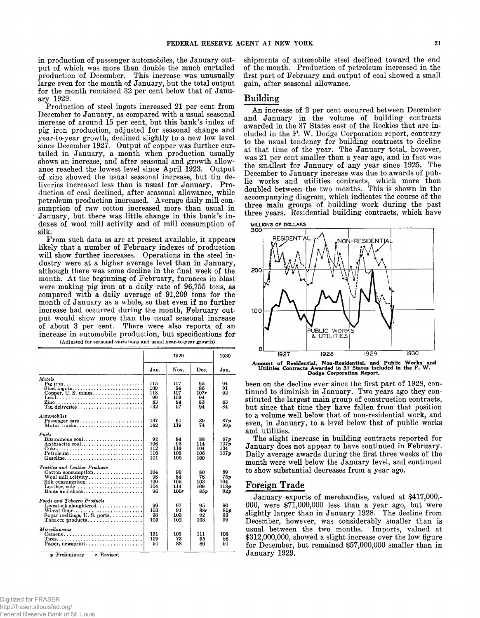**in production of passenger automobiles, the January output of which was more than double the much curtailed production of December. This increase was unusually large even for the month of January, but the total output for the month remained 32 per cent below that of January 1929.**

**Production of steel ingots increased 21 per cent from December to January, as compared with a usual seasonal increase of around 15 per cent, but this bank's index of pig iron production, adjusted for seasonal change and year-to-year growth, declined slightly to a new low level since December 1927. Output of copper was further curtailed in January, a month when production usually shows an increase, and after seasonal and growth allowance reached the lowest level since April 1923. Output of zinc showed the usual seasonal increase, but tin deliveries increased less than is usual for January. Production of coal declined, after seasonal allowance, while petroleum production increased. Average daily mill consumption of raw cotton increased more than usual in January, but there was little change in this bank's indexes of wool mill activity and of mill consumption of silk.**

**From such data as are at present available, it appears likely that a number of February indexes of production will show further increases. Operations in the steel industry were at a higher average level than in January, although there was some decline in the final week of the** month. At the beginning of February, furnaces in blast **were making pig iron at a daily rate of 96,755 tons, as compared with a daily average of 91,209 tons for the month of January as a whole, so that even if no further increase had occurred during the month, February output would show more than the usual seasonal increase of about 3 per cent. There were also reports of an increase in automobile production, but specifications for** (Adjusted for seasonal variations and usual year-to-year growth)

|                                                                                                                                                          | 1929                                 |                                     | 1930                               |                                        |
|----------------------------------------------------------------------------------------------------------------------------------------------------------|--------------------------------------|-------------------------------------|------------------------------------|----------------------------------------|
|                                                                                                                                                          | Jan.                                 | Nov.                                | Dec.                               | Jan.                                   |
| Methods<br>Pig iron<br>Steel ingots<br>Copper, U.S. mines<br>$\text{Leaf} \dots \dots \dots \dots \dots \dots \dots \dots \dots \dots$<br>Tin deliveries | 115<br>109<br>118<br>99<br>83<br>132 | 107<br>94<br>107<br>103<br>84<br>97 | 95<br>86<br>107r<br>94<br>83<br>94 | 94<br>91<br>92<br>83<br>84             |
| Automobiles<br>Passenger cars<br>Motor trucks                                                                                                            | 137<br>142                           | 61<br>119                           | 39<br>74                           | 87 p<br>99 D                           |
| Fuels<br>$Bituminous coal. \ldots \ldots \ldots \ldots \ldots$<br>Anthracite coal<br>Petroleum<br>Gasoline                                               | 92<br>106<br>112<br>116<br>101       | 84<br>92<br>110<br>105<br>100       | 88<br>114<br>104<br>106<br>100     | 87n<br>107 <sub>p</sub><br>104<br>107n |
| Textiles and Leather Products<br>Cotton consumption<br>Silk consumption<br>Leather, sole<br>Boots and shoes                                              | 104<br>98<br>109<br>104<br>96        | 90<br>84<br>105<br>114<br>100r      | 80<br>76<br>103<br>109<br>85 p     | 89<br>75p<br>104<br>113p<br>92p        |
| Foods and Tobacco Products<br>Livestock slaughtered<br>Wheat flour<br>Sugar meltings, U.S. ports                                                         | 99<br>103<br>98<br>103               | 97<br>91<br>103<br>102              | 95<br>88r<br>92<br>103             | 90<br>81p<br>93<br>99                  |
| Miscellaneous<br>$Cement \ldots \ldots \ldots \ldots \ldots \ldots \ldots \ldots$<br><i>n</i> Preliminary<br>r Revised                                   | 131<br>129<br>91                     | 109<br>73<br>88                     | 111<br>65<br>86                    | 108<br>88<br>91                        |

**shipments of automobile steel declined toward the end of the month. Production of petroleum increased in the first part of February and output of coal showed a small gain, after seasonal allowance.**

## **Building**

An increase of 2 per cent occurred between December **and January in the volume of building contracts awarded in the 37 States east of the Rockies that are included in the F. W . Dodge Corporation report, contrary to the usual tendency for building contracts to decline at that time of the year. The January total, however, was 21 per cent smaller than a year ago, and in fact was the smallest for January of any year since 1925. The December to January increase was due to awards of public works and utilities contracts, which more than doubled between the two months, This is shown in the accompanying diagram, which indicates the course of the three main groups of building work during the past three years. Residential building contracts, which have**



**Amount of Residential, Non-Residential, and Public W orks and Utilities Contracts Awarded in 37 States included in the F. W . Dodge Corporation Report.**

**been on the decline ever since the first part of 1928, continued to diminish in January. Two years ago they constituted the largest main group of construction contracts, but since that time they have fallen from that position to a volume well below that of non-residential work, and even, in January, to a level below that of public works and utilities.**

**The slight increase in building contracts reported for January does not appear to have continued in February. Daily average awards during the first three weeks of the month were well below the January level, and continued to show substantial decreases from a year ago.**

## **Foreign Trade**

**January exports of merchandise, valued at \$417,000,- 000, were \$71,000,000 less than a year ago, but were slightly larger than in January 1928. The decline from December, however, was considerably smaller than is usual between the two months. Imports, valued at \$312,000,000, showed a slight increase over the low figure for December, but remained \$57,000,000 smaller than in January 1929.**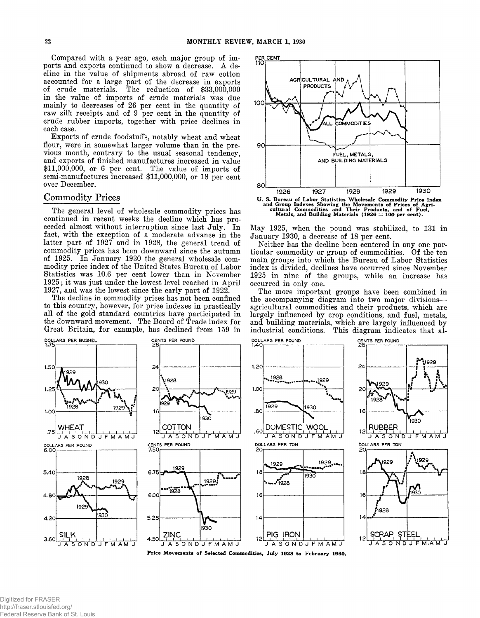**Compared with a year ago, each major group of imports and exports continued to show a decrease. A decline in the value of shipments abroad of raw cotton accounted for a large part of the decrease in exports of crude materials. The reduction of \$33,000,000 in the value of imports of crude materials was due mainly to decreases of 26 per cent in the quantity of raw silk receipts and of 9 per cent in the quantity of crude rubber imports, together with price declines in each case.**

**Exports of crude foodstuffs, notably wheat and wheat flour, were in somewhat larger volume than in the previous month, contrary to the usual seasonal tendency, and exports of finished manufactures increased in value \$11,000,000, or 6 per cent. The value of imports of semi-manufactures increased \$11,000,000, or 18 per cent over December.**

#### **Commodity Prices**

**The general level of wholesale commodity prices has continued in recent weeks the decline which has proceeded almost without interruption since last July. In fact, with the exception of a moderate advance in the latter part of 1927 and in 1928, the general trend of commodity prices has been downward since the autumn of 1925. In January 1930 the general wholesale commodity price index of the United States Bureau of Labor Statistics was 10.6 per cent lower than in November 1925; it was just under the lowest level reached in April 1927, and was the lowest since the early part of 1922.**

**The decline in commodity prices has not been confined to this country, however, for price indexes in practically all of the gold standard countries have participated in the downward movement. The Board of Trade index for Great Britain, for example, has declined from 159 in**



**May 1925, when the pound was stabilized, to 131 in January 1930, a decrease of 18 per cent.**

**Neither has the decline been centered in any one particular commodity or group of commodities. Of the ten main groups into which the Bureau of Labor Statistics index is divided, declines have occurred since November 1925 in nine of the groups, while an increase has occurred in only one.**

**The more important groups have been combined in the accompanying diagram into two major divisions agricultural commodities and their products, which are largely influenced by crop conditions, and fuel, metals, and building materials, which are largely influenced by industrial conditions. This diagram indicates that al-**

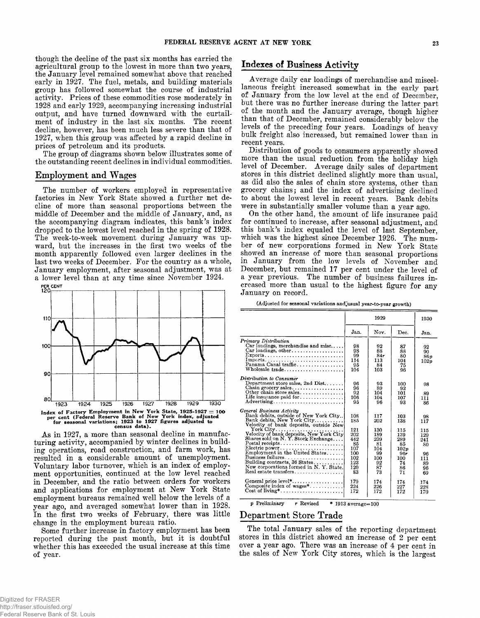**though the decline of the past six months has carried the agricultural group to the lowest in more than two years, the January level remained somewhat above that reached early in 1927. The fuel, metals, and building materials group has followed somewhat the course of industrial activity. Prices of these commodities rose moderately in 1928 and early 1929, accompanying increasing industrial output, and have turned downward with the curtailment of industry in the last six months. The recent decline, however, has been much less severe than that of 1927, when this group was affected by a rapid decline in prices of petroleum and its products.**

**The group of diagrams shown below illustrates some of the outstanding recent declines in individual commodities.**

## **Employment and Wages**

**The number of workers employed in representative factories in New York State showed a further net decline of more than seasonal proportions between the middle of December and the middle of January, and, as the accompanying diagram indicates, this bank's index dropped to the lowest level reached in the spring of 1928. The week-to-week movement during January was upward, but the increases in the first two weeks of the month apparently followed even larger declines in the last two weeks of December. For the country as a whole, January employment, after seasonal adjustment, was at a lower level than at any time since November 1924.**



**As in 1927, a more than seasonal decline in manufacturing activity, accompanied by winter declines in building operations, road construction, and farm work, has resulted in a considerable amount of unemployment. Voluntary labor turnover, which is an index of employment opportunities, continued at the low level reached in December, and the ratio between orders for workers and applications for employment at New York State employment bureaus remained well below the levels of a year ago, and averaged somewhat lower than in 1928. In the first two weeks of February, there was little change in the employment bureau ratio.**

**Some further increase in factory employment has been reported during the past month, but it is doubtful whether this has exceeded the usual increase at this time of year.**

# **Indexes of Business Activity**

**Average daily car loadings of merchandise and miscellaneous freight increased somewhat in the early part of January from the low level at the end of December, but there was no further increase during the latter part of the month and the January average, though higher than that of December, remained considerably below the levels of the preceding four years. Loadings of heavy bulk freight also increased, but remained lower than in recent years.**

**Distribution of goods to consumers apparently showed more than the usual reduction from the holiday high level of December. Average daily sales of department stores in this district declined slightly more than usual, as did also the sales of chain store systems, other than grocery chains ; and the index of advertising declined to about the lowest level in recent years. Bank debits were in substantially smaller volume than a year ago.**

**On the other hand, the amount of life insurance paid for continued to increase, after seasonal adjustment, and this bank's index equaled the level of last September, which was the highest since December 1926. The number of new corporations formed in New York State showed an increase of more than seasonal proportions in January from the low levels of November and December, but remained 17 per cent under the level of a year previous. The number of business failures increased more than usual to the highest figure for any January on record.**

|  |  | (Adjusted for seasonal variations and usual year-to-year growth) |
|--|--|------------------------------------------------------------------|
|--|--|------------------------------------------------------------------|

|                                                                                                                                                                                                                                                                                                                                                       | 1929                                                                           |                                                                             |                                                                               | 1930                                                                |
|-------------------------------------------------------------------------------------------------------------------------------------------------------------------------------------------------------------------------------------------------------------------------------------------------------------------------------------------------------|--------------------------------------------------------------------------------|-----------------------------------------------------------------------------|-------------------------------------------------------------------------------|---------------------------------------------------------------------|
|                                                                                                                                                                                                                                                                                                                                                       | Jan.                                                                           | Nov.                                                                        | Dec.                                                                          | Jan.                                                                |
| Primary Distribution<br>Car loadings, merchandise and misc<br>$Car$ loadings, other<br>$Express.$<br>Panama Canal traffic<br>Wholesale trade                                                                                                                                                                                                          | 98<br>98<br>99<br>114<br>95<br>104                                             | 92<br>88<br>84r<br>113<br>84<br>103                                         | 87<br>88<br>80<br>104<br>75<br>96                                             | 92<br>90.<br>86p<br>102p                                            |
| Distribution to Consumer<br>Department store sales, 2nd $Dist, \ldots$<br>Chain grocery sales<br>Other chain store sales<br>Life insurance paid for<br>Advertising                                                                                                                                                                                    | 96<br>96<br>92<br>106<br>95                                                    | 93<br>89<br>104<br>104<br>96                                                | 100<br>92<br>101<br>107<br>93                                                 | 98<br>89<br>111<br>86                                               |
| General Business Activity<br>Bank debits, outside of New York City<br>Bank debits, New York City<br>Velocity of bank deposits, outside New<br>Velocity of bank deposits, New York City<br>Shares sold on N.Y. Stock Exchange<br>Business failures<br>Building contracts, 36 States<br>New corporations formed in N.Y. State.<br>Real estate transfers | 108<br>185<br>121<br>202<br>442<br>85<br>107<br>100<br>102<br>123<br>120<br>83 | 117<br>202<br>130<br>189<br>239<br>81<br>104<br>99<br>100<br>92<br>87<br>73 | 103<br>138<br>115<br>139<br>289<br>85<br>102n<br>96r<br>100<br>74<br>86<br>71 | 98<br>117<br>115<br>129<br>241<br>80<br>96<br>111<br>89<br>96<br>69 |
| Composite index of $wages^*$<br>$Cost of living * \ldots \ldots \ldots \ldots \ldots$                                                                                                                                                                                                                                                                 | 179<br>224<br>172                                                              | 174<br>226<br>172                                                           | 174<br>227<br>172                                                             | 174<br>228<br>170                                                   |

 $p$  Preliminary r Revised \* 1913 average= $100$ 

# **Department Store Trade**

**The total January sales of the reporting department stores in this district showed an increase of 2 per cent over a year ago. There was an increase of 4 per cent in the sales of New York City stores, which is the largest**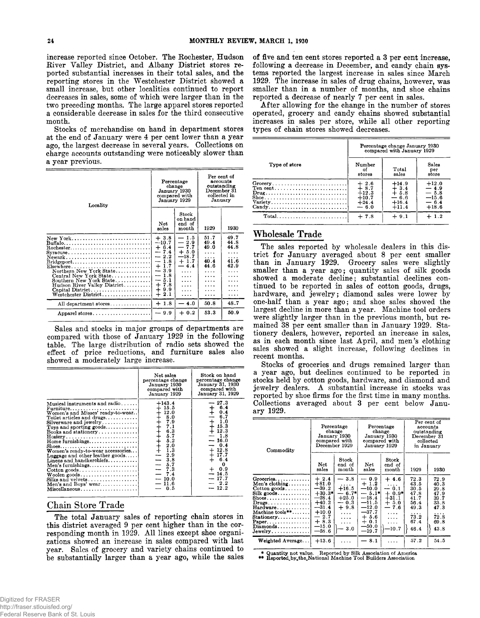**increase reported since October. The Rochester, Hudson River Valley District, and Albany District stores reported substantial increases in their total sales, and the reporting stores in the Westchester District showed a small increase, but other localities continued to report decreases in sales, some of which were larger than in the two preceding months. The large apparel stores reported a considerable decrease in sales for the third consecutive month.**

**Stocks of merchandise on hand in department stores at the end of January were 4 per cent lower than a year ago, the largest decrease in several years. Collections on charge accounts outstanding were noticeably slower than a year previous.**

| Locality                                                                                                                                                                                                                                                                                                           | Percentage<br>change<br>January 1930<br>compared with<br>January 1929                                                                                                                                                        |                                                                                                                                    | Per cent of<br>accounts<br>outstanding<br>December 31<br>collected in<br>January |                                                     |
|--------------------------------------------------------------------------------------------------------------------------------------------------------------------------------------------------------------------------------------------------------------------------------------------------------------------|------------------------------------------------------------------------------------------------------------------------------------------------------------------------------------------------------------------------------|------------------------------------------------------------------------------------------------------------------------------------|----------------------------------------------------------------------------------|-----------------------------------------------------|
|                                                                                                                                                                                                                                                                                                                    | Net.<br>sales                                                                                                                                                                                                                | Stock<br>on hand<br>end of<br>month                                                                                                | 1929                                                                             | 1930                                                |
| New York<br>Buffalo<br>$Svracuse \ldots \ldots \ldots \ldots \ldots \ldots \ldots$<br>Newark<br>$Bridgeport \ldots \ldots \ldots \ldots \ldots \ldots \ldots$<br>Elsewhere<br>Northern New York State<br>Central New York State<br>Southern New York State<br>Hudson River Valley District<br>Westchester District | $+3.8$<br>$-10.7$<br>$+6.4$<br>$-7.4$<br>2.2<br>--<br>1.8<br>$\overline{\phantom{m}}$<br>$\ddot{}$<br>1.7<br>3.9<br>$\qquad \qquad$<br>1.8<br>5.1<br>$\overline{\phantom{0}}$<br>$+7.8$<br>9.9<br>$\ddot{}$<br>$\div$<br>2.1 | — 1.5<br>$-2.9$<br>7.7<br>$\overline{\phantom{0}}$<br>$+5.0$<br>$-18.7$<br>$+1.7$<br>$-4.4$<br>.<br>$\cdots$<br>.<br>$\cdots$<br>. | 51.7<br>49.4<br>49.0<br>.<br>.<br>40.4<br>44.6<br>.<br>.<br>.<br>.<br>.<br>.     | 49.7<br>44.8<br>44.8<br>.<br>.<br>41.6<br>42.9<br>. |
| All department stores                                                                                                                                                                                                                                                                                              | $+1.8$                                                                                                                                                                                                                       | $-4.0$                                                                                                                             | 50.8                                                                             | 48.7                                                |
| Apparel stores                                                                                                                                                                                                                                                                                                     | $-9.9$                                                                                                                                                                                                                       | $+0.2$                                                                                                                             | 53.3                                                                             | 50.9                                                |

**Sales and stocks in major groups of departments are compared with those of January 1929 in the following table. The large distribution of radio sets showed the effect of price reductions, and furniture sales also showed a moderately large increase.**

|                                                                                                                                                                                                                                                                                                                                                                                                                                                                                                                                                                                                                                           | Net sales<br>percentage change<br>January 1930<br>compared with<br>January 1929                                  | Stock on hand<br>percentage change<br>January 31, 1930<br>compared with<br>January 31, 1929                                                                                                                                     |
|-------------------------------------------------------------------------------------------------------------------------------------------------------------------------------------------------------------------------------------------------------------------------------------------------------------------------------------------------------------------------------------------------------------------------------------------------------------------------------------------------------------------------------------------------------------------------------------------------------------------------------------------|------------------------------------------------------------------------------------------------------------------|---------------------------------------------------------------------------------------------------------------------------------------------------------------------------------------------------------------------------------|
| Musical instruments and radio<br>$\text{Furniture}\ldots\ldots\ldots\ldots\ldots\ldots\ldots\ldots$<br>Women's and Misses' ready-to-wear<br>Toilet articles and drugs<br>$Silyerware and jewelry \ldots$<br>Toys and sporting goods<br>Books and stationery<br>Home furnishings<br>$\text{Shoes.} \dots \dots \dots \dots \dots \dots \dots \dots \dots \dots$<br>Women's ready-to-wear accessories<br>Luggage and other leather goods<br>Linens and handkerchiefs<br>Men's furnishings<br>$\text{Cottom goods.}\dots\dots\dots\dots\dots\dots\dots\dots$<br>$Woolen$ goods<br>Silks and velvets<br>Men's and Boys' wear<br>Miscellaneous | $+143.4$<br>$+15.5$<br>$+12.0$<br>$-2.9$<br>$-3.8$<br>$-5.7$<br>$-7.3$<br>$-7.4$<br>$-10.0$<br>$-11.6$<br>$-0.5$ | $-27.3$<br>$\begin{array}{cc} + & 6.4 \\ + & 0.4 \end{array}$<br>6.7<br>$+1.0$<br>$+15.3$<br>$+12.3$<br>$-1.8$<br>$-16.0$<br>$-0.4$<br>$+12.8$<br>$+17.7$<br>$+ 6.4$<br>0<br>$+ 0.9$<br>$-14.5$<br>$-17.7$<br>$-2.2$<br>$-12.2$ |

#### **Chain Store Trade**

**The total January sales of reporting chain stores in this district averaged 9 per cent higher than in the cor**responding month in 1929. All lines except shoe organi**zations showed an increase in sales compared with last year. Sales of grocery and variety chains continued to be substantially larger than a year ago, while the sales**

**of five and ten cent stores reported a 3 per cent increase, following a decrease in December, and candy chain systems reported the largest increase in sales since March 1929. The increase in sales of drug chains, however, was smaller than in a number of months, and shoe chains reported a decrease of nearly 7 per cent in sales.**

**After allowing for the change in the number of stores operated, grocery and candy chains showed substantial increases in sales per store, while all other reporting types of chain stores showed decreases.**

|                                                                                    | Percentage change January 1930<br>compared with January 1929                           |                                                              |                                                             |  |
|------------------------------------------------------------------------------------|----------------------------------------------------------------------------------------|--------------------------------------------------------------|-------------------------------------------------------------|--|
| Type of store                                                                      | Number<br>οf<br>stores                                                                 | Total<br>sales                                               | Sales<br>per<br>store                                       |  |
| $\texttt{Ten cent} \dots \dots \dots \dots \dots \dots \dots \dots \dots$<br>Candy | $\begin{array}{c} +2.6 \\ +8.7 \end{array}$<br>$+12.3$<br>$+10.7$<br>$+24.4$<br>$-6.0$ | $+14.9$<br>$\frac{1}{4}$ 3.4<br>$-6.6$<br>$+16.4$<br>$+11.4$ | $+12.0$<br>$-4.9$<br>$-5.8$<br>$-15.6$<br>$-6.4$<br>$+18.6$ |  |
| $Total$                                                                            | $+7.8$                                                                                 | $+9.1$                                                       | $+1.2$                                                      |  |

# **Wholesale Trade**

**The sales reported by wholesale dealers in this district for January averaged about 8 per cent smaller than in January 1929. Grocery sales were slightly smaller than a year ago; quantity sales of silk goods showed a moderate decline; substantial declines continued to be reported in sales of cotton goods, drugs, hardware, and jewelry; diamond sales were lower by one-half than a year ago; and shoe sales showed the largest decline in more than a year. Machine tool orders were slightly larger than in the previous month, but remained 38 per cent smaller than in January 1929. Stationery dealers, however, reported an increase in sales, as in each month since last April, and men's clothing sales showed a slight increase, following declines in recent months.**

**Stocks of groceries and drugs remained larger than a year ago, but declines continued to be reported in stocks held by cotton goods, hardware, and diamond and jewelry dealers. A substantial increase in stocks was reported by shoe firms for the first time in many months. Collections averaged about 3 per cent below January 1929.**

| Commodity                                                                                                                                                                                                                                                                                                                                            | Percentage<br>change<br>January 1930<br>compared with<br>December 1929                                                         |                                                                                                      | Percentage<br>change<br>Januarv 1930<br>compared with<br>January 1929                                                       |                                                                                                                         | Per cent of<br>accounts<br>outstanding<br>December 31<br>collected<br>in January  |                                                                                   |
|------------------------------------------------------------------------------------------------------------------------------------------------------------------------------------------------------------------------------------------------------------------------------------------------------------------------------------------------------|--------------------------------------------------------------------------------------------------------------------------------|------------------------------------------------------------------------------------------------------|-----------------------------------------------------------------------------------------------------------------------------|-------------------------------------------------------------------------------------------------------------------------|-----------------------------------------------------------------------------------|-----------------------------------------------------------------------------------|
|                                                                                                                                                                                                                                                                                                                                                      | Net<br>sales                                                                                                                   | Stock<br>end of<br>month                                                                             | Net<br>sales                                                                                                                | Stock<br>end of<br>$\mathop{\rm month}$                                                                                 | 1929                                                                              | 1930                                                                              |
| $G$ roceries<br>Men's clothing<br>$\text{Cotton goods} \dots \dots$<br>Silk goods.<br>$\mathbf{Shoes.}\dots\dots\dots\dots\dots\$<br>$Drugs \ldots \ldots \ldots \ldots$<br>$\texttt{Hardware} \dots \dots \dots$<br>Machine tools**<br>$Stationery \ldots$<br>$Paper. \ldots \ldots \ldots \ldots$<br>$Diamonds \ldots \ldots \ldots$<br>$Jewelry.$ | $+2.4$<br>$+81.0$<br>$-39.2$<br>$+30.3*$<br>$-28.4$<br>$+40.2$<br>$-31.4$<br>$+10.0$<br>$-2.7$<br>$+8.3$<br>$-15.0$<br>$-58.6$ | $-3.8$<br>$\cdots$<br>$+16.5$<br>-- 6.7*<br>$+25.0$<br>$-0.3$<br>$+9.8$<br>$\cdots$<br>.<br>.<br>3.0 | $-0.9$<br>$+1.2$<br>$-10.0$<br>$-5.1*$<br>$-18.4$<br>—11.5<br>$-12.0$<br>$-37.7$<br>$+ 5.6$<br>$+0.1$<br>$-50.0$<br>$-19.7$ | $+4.6$<br>.<br>$-0.1$<br>$+0.9*$<br>$+31.1$<br>$+5.0$<br>7.6<br>$\overline{\phantom{0}}$<br>$\cdots$<br>.<br>.<br>-10.7 | 72.3<br>43.5<br>30.5<br>47.8<br>41.7<br>56.4<br>49.3<br>.<br>73.2<br>67.4<br>46.4 | 72.9<br>40.3<br>29.8<br>47.9<br>39.7<br>33.8<br>47.3<br>.<br>72.8<br>69.8<br>43.8 |
| Weighted Average                                                                                                                                                                                                                                                                                                                                     | $+13.6$                                                                                                                        | $\cdots$                                                                                             | 8.1                                                                                                                         | .                                                                                                                       | 57.2                                                                              | 54.5                                                                              |

\* Quantity not value. Reported by Silk Association of America \*\* Reported.by.the.National Machine Tool Builders Association